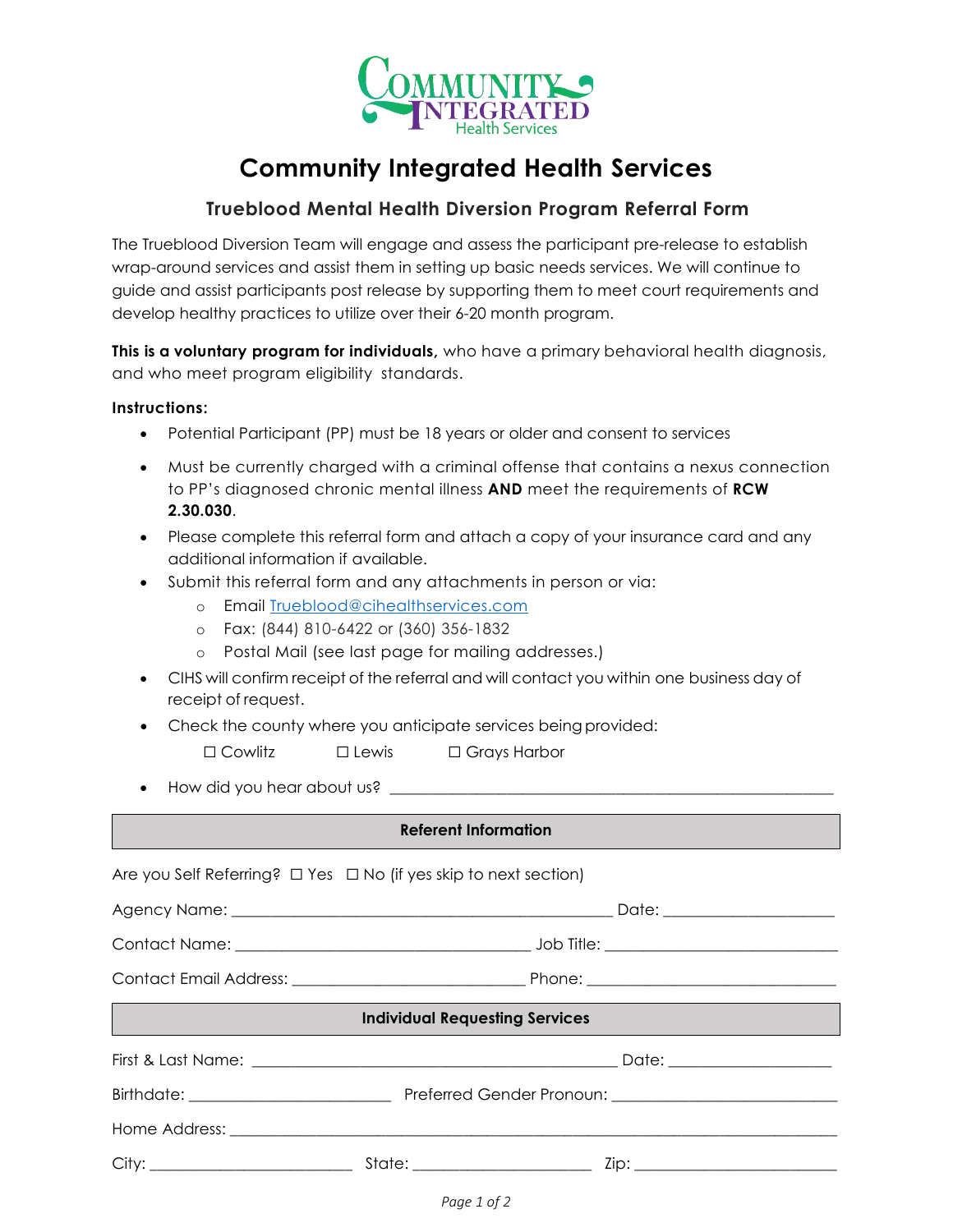

## **Community Integrated Health Services**

## **Trueblood Mental Health Diversion Program Referral Form**

The Trueblood Diversion Team will engage and assess the participant pre-release to establish wrap-around services and assist them in setting up basic needs services. We will continue to guide and assist participants post release by supporting them to meet court requirements and develop healthy practices to utilize over their 6-20 month program.

**This is a voluntary program for individuals,** who have a primary behavioral health diagnosis, and who meet program eligibility standards.

## **Instructions:**

- Potential Participant (PP) must be 18 years or older and consent to services
- Must be currently charged with a criminal offense that contains a nexus connection to PP's diagnosed chronic mental illness **AND** meet the requirements of **RCW 2.30.030**.
- Please complete this referral form and attach a copy of your insurance card and any additional information if available.
- Submit this referral form and any attachments in person or via:
	- o Email [Trueblood@cihealthservices.com](mailto:Trueblood@cihealthservices.com)
	- o Fax: (844) 810-6422 or (360) 356-1832
	- o Postal Mail (see last page for mailing addresses.)
- CIHS will confirm receipt of the referral and will contact you within one business day of receipt of request.
- Check the county where you anticipate services being provided:
	- ☐ Cowlitz ☐ Lewis ☐ Grays Harbor
- How did you hear about us?

## **Referent Information**

| Are you Self Referring? $\Box$ Yes $\Box$ No (if yes skip to next section) |  |  |  |
|----------------------------------------------------------------------------|--|--|--|
|                                                                            |  |  |  |
|                                                                            |  |  |  |
|                                                                            |  |  |  |
| <b>Individual Requesting Services</b>                                      |  |  |  |
|                                                                            |  |  |  |
|                                                                            |  |  |  |
|                                                                            |  |  |  |
|                                                                            |  |  |  |